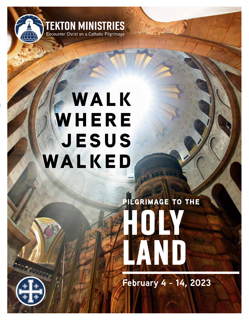

## **WALK WHERE jesus walked**

# **HOLY LAND pilgrimage to the**

**February 4 - 14, 2023**

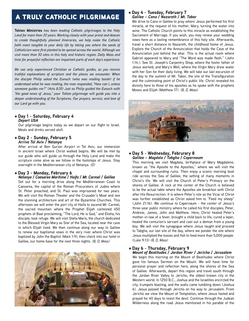### a truly catholic pilgrimage

**Tekton Ministries** *has been leading Catholic pilgrimages to the Holy Land for more than 20 years. Working closely with your priest and deacon to create thoughtfully planned itineraries, we help make the Catholic faith more tangible to your daily life by taking you where the seeds of Catholicism were first planted to be spread across the world. Although we visit more than 50 sites in this holy and historic region, Daily Mass and time for prayerful reflection are important parts of each day's experience.*

*We use only experienced Christian or Catholic guides, so you receive truthful explanations of scripture and the places we encounter. When the disciple Philip asked the Eunuch (who was reading Isaiah) if he understood what he was reading, the man responded, "How can I, unless someone guides me?" (Acts 8:35) Just as Philip guided the Eunuch with "the good news of Jesus," your Tekton pilgrimage will guide you into a deeper understanding of the Scriptures. Our prayers, service, and love of our Lord go with you.*

#### l **Day 1 - Saturday, February 4** *Depart USA*

Our pilgrimage begins today as we depart on our flight to Israel. Meals and drinks served aloft.

#### l **Day 2 - Sunday, February 5** *Arrive Tel Aviv / Netanya*

After arrival at Ben Gurion Airport in Tel Aviv, our immersion in ancient Israel where Christ walked begins. We will be met by our guide who will guide us through the Holy Land and make the scripture come alive as we follow in the footsteps of Jesus. Stay overnight in the Mediterranean city of Netanya. *(D)*

#### l **Day 3 - Monday, February 6**

#### *Netanya / Caesarea Maritime / Haifa / Mt. Carmel / Galilee*

Set out for a morning drive along the Mediterranean Coast to Caesarea, the capital of the Roman Procurators of Judea where St. Peter preached, and St. Paul was imprisoned for two years. We will visit the Roman Theater and the Crusader's Moat and see the stunning architecture and art of the Byzantine Churches. This afternoon we will enter the port city of Haifa to ascend Mt. Carmel, the sacred mountain where the Prophet Elijah contested 450 prophets of Baal proclaiming, "The Lord, He is God," and Elisha, his disciple, took refuge. We will visit Stella Maris, the church dedicated to the Blessed Virgin Mary as Star of the Sea, located near the cave in which Elijah lived. We then continue along our way to Galilee to renew our baptismal vows in the very river where Christ was baptized by John the Baptist (Mark 1:9), then check into our hotel in Galilee, our home base for the next three nights. *(B, D, Mass)*



#### l **Day 4 - Tuesday, February 7** *Galilee – Cana / Nazareth / Mt. Tabor*

We drive to Cana in Galilee to pray where Jesus performed his first miracle, at the request of his mother, Mary, turning the water into wine. The Catholic Church points to this miracle as establishing the Sacrament of Marriage. If you wish, you may renew your wedding vows here as a lasting remembrance of this holy site. Afterwards, travel a short distance to Nazareth, the childhood home of Jesus. Explore the Church of the Annunciation that holds the Cave of the Annunciation just behind the altar. This is the actual room where Gabriel appeared to Mary and "The Word was made flesh." (John 1:14.). See St. Joseph's Carpentry Shop, where the foster father of Jesus worked, and Mary's Well, where the Virgin Mary drew water with her Son for their daily living. We will take our last excursion of the day to the summit of Mt. Tabor, the site of the Transfiguration and the culminating point of Christ's public life. Christ revealed his divinity here to three of his apostles as he spoke with the prophets Moses and Elijah (Matthew 17). *(B, D, Mass)*



#### l **Day 5 - Wednesday, Februrary 8** *Galilee – Magdala / Tabgha / Capernaum*

This morning we visit Magdala, birthplace of Mary Magdalene, known as "the Apostle to the Apostles," where we will visit the chapel and surrounding ruins. Then enjoy a scenic morning boat ride across the Sea of Galilee, the setting of many moments in Christ's life. We will visit the Church of Peter's Primacy on the shores of Galilee. A rock at the center of the Church is believed to be the actual table where the Apostles ate breakfast with Christ after His Resurrection. It is where Peter's role as the Vicar of Christ was further established as Christ asked him to "Feed my sheep" (John 21:16). We continue to Capernaum - the center of Jesus's three-year public ministry where he called his first disciples, Peter, Andrew, James, John and Matthew. Here, Christ healed Peter's mother-in-law of a fever, brought a child back to life, cured a leper, healed the centurion's servant and cast out a demon from a young boy. We will visit the synagogue where Jesus taught and proceed to Tabgha, our last site of the day, where we ponder the site where Jesus multiplied the loaves and fish to feed more than 5,000 people. (Luke 9:13) *(B, D, Mass)*

#### l **Day 6 - Thursday, February 9**

*Mount of Beatitudes / Jordan River / Jericho / Jerusalem*

We begin this morning on the Mount of Beatitudes where Christ gave his famous Sermon on the Mount. We will have time for personal prayer and reflection here, along the shores of the Sea of Galilee. Afterwards, depart this region and travel south through the Jordan River Valley to Jericho, the oldest known city in the Western world. In 1250 B.C., Joshua and the Israelites encircled the city, trumpets blasting, and the walls came tumbling down (Joshua 6). Jesus passed through Jericho on his way to Jerusalem. From Jericho we view the Mount of Temptation, where Jesus fasted and prayed for 40 days to resist the devil. Continue through the Judean Wilderness along the road Jesus mentioned in his parable of the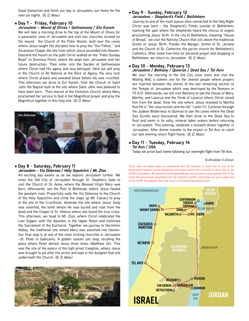Good Samaritan and finish our day in Jerusalem, our home for the next six nights. *(B, D, Mass)*

#### l **Day 7 - Friday, February 10** *Jerusalem – Mount of Olives / Gethsemane / Ein Karem*

We will take a morning drive to the top of the Mount of Olives for a panoramic view of Jerusalem and visit two churches located on the mount: the Church of the Pater Noster, built over the caves where Jesus taught His disciples how to pray the "Our Father," and Ascension Chapel, the site from which Jesus ascended into Heaven. Descend the mount on the path Christ walked on the "Palm Sunday Road" to Dominus Flevit, where He wept over Jerusalem and her future destruction. Then enter into the Garden of Gethsemane where Christ had His agony and was betrayed. Here we will pray in the Church of All Nations at the Rock of Agony, the very rock where Christ prayed and sweated blood before He was crucified. This afternoon we drive to Ein Karem. Visit the Church of Saint John the Baptist built at the site where Saint John was believed to have been born. Then marvel at the Visitation Church where Mary proclaimed her service to God in her Magnificat prayer and pray the Magnificat together in this holy site. *(B, D, Mass)*



#### l **Day 8 - Saturday, February 11** *Jerusalem – Via Dolorosa / Holy Sepulchre / Mt. Zion*

An exciting day awaits us as we explore Jerusalem further. We enter the Old City of Jerusalem through St. Stephen's Gate to visit the Church of St. Anne, where the Blessed Virgin Mary was born. Afterwards, see the Pool of Bethesda, where Jesus healed the paralytic man. Prayerfully walk the Via Dolorosa to the Church of the Holy Sepulchre and climb the steps up Mt. Calvary to pray at the site of the Crucifixion. Venerate the site where Jesus' body was anointed, the tomb where He was buried and rose from the dead and the Chapel of St. Helena where she found the true cross. This afternoon, we head to Mt. Zion, where Christ celebrated the Last Supper with His Apostles in the Upper Room and instituted the Sacrament of the Eucharist. Together we journey to Dormition Abbey, the traditional site where Mary was assumed into heaven. Our final stop is at one of the most striking churches in Jerusalem –St. Peter in Gallicantu. A golden rooster sits atop, recalling the place where Peter denied Jesus three times (Matthew 26). This was the site of the palace of the high priest Caiaphas, where Jesus was brought to jail after His arrest and kept in the dungeon that sits underneath the Church. *(B, D, Mass)*



#### l **Day 9 - Sunday, February 12** *Jerusalem – Shepherd's Field / Bethlehem*

Journey to one of the most joyous sites connected to the Holy Night Christ was born - the Shepherd's Fields outside of Bethlehem, marking the spot where the shepherds heard the chorus of angels proclaiming Jesus' birth. In the city of Bethlehem, meaning "House of Bread," we visit the Nativity Church that sits above the traditional Grotto of Jesus' Birth. Ponder the Manger, Grotto of St. Jerome and the Church of St. Catherine, the parish church for Bethlehem's Catholics. After some free time for personal prayer and shopping in Bethlehem, we return to Jerusalem. *(B, D, Mass)*

#### l **Day 10 - Monday, February 13**

*Jerusalem / Bethany / Qumran / Dead Sea / Tel Aviv* We start the morning in the Old City once more and visit the Wailing Wall, a solemn site for the Jewish people where prayers are inserted between the stones of the last remaining section of the Temple of Jerusalem which was destroyed by the Romans in 70 A.D. Afterwards, we will visit Bethany to see the House of Mary, Martha, and Lazarus and the Tomb of Lazarus where Christ raised him from the dead. View the site where Jesus revealed to Martha that He is "the resurrection and the life" (John 11). Continue through the Judean Wilderness to Qumran to see the caves where the Dead Sea Scrolls were discovered. We then drive to the Dead Sea to float and swim in its salty, mineral laden waters before returning to Jerusalem. This evening, celebrate a farewell dinner together in Jerusalem. After dinner transfer to the airport in Tel Aviv to catch our late evening return flight home. *(B, D, Mass)*

#### l **Day 11 - Tuesday, February 14** *Tel Aviv / USA*

Today we arrive back home following our overnight flight from Tel Aviv.

#### *B=Breakfast D=Dinner*

government-imposed social distancing restrictions which are currently in place due to the<br>COVID-19 pandemic. We cannot be held responsible for any increase in these quoted rates in the **lebanon** *These rates are based upon an assumption that the situation in Israel will be free of the*  **philippi** *COVID-19 pandemic. We cannot be held responsible for any increase in these quoted rates in the event that government regulations are not relaxed or further restrictions are put in place due to the COVID-19 pandemic that may result in increased operational costs.*